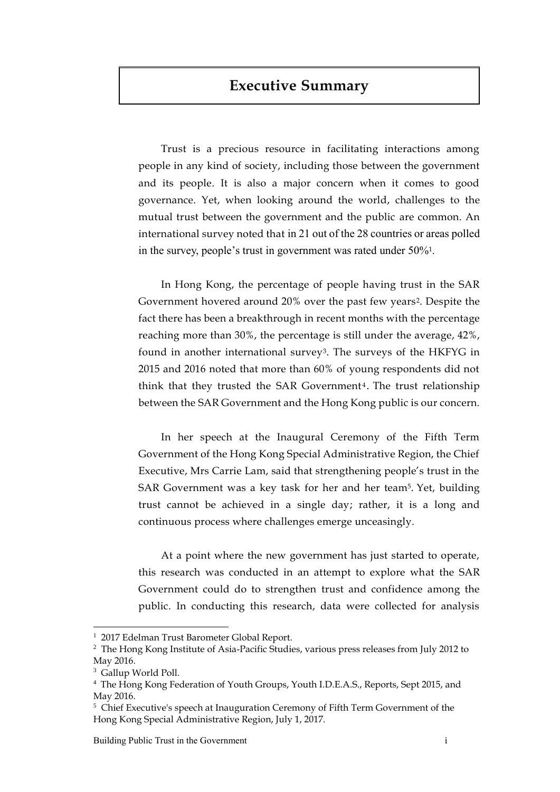# **Executive Summary**

Trust is a precious resource in facilitating interactions among people in any kind of society, including those between the government and its people. It is also a major concern when it comes to good governance. Yet, when looking around the world, challenges to the mutual trust between the government and the public are common. An international survey noted that in 21 out of the 28 countries or areas polled in the survey, people's trust in government was rated under 50%1.

In Hong Kong, the percentage of people having trust in the SAR Government hovered around 20% over the past few years<sup>2</sup>. Despite the fact there has been a breakthrough in recent months with the percentage reaching more than 30%, the percentage is still under the average, 42%, found in another international survey3. The surveys of the HKFYG in 2015 and 2016 noted that more than 60% of young respondents did not think that they trusted the SAR Government<sup>4</sup>. The trust relationship between the SAR Government and the Hong Kong public is our concern.

In her speech at the Inaugural Ceremony of the Fifth Term Government of the Hong Kong Special Administrative Region, the Chief Executive, Mrs Carrie Lam, said that strengthening people's trust in the SAR Government was a key task for her and her team5. Yet, building trust cannot be achieved in a single day; rather, it is a long and continuous process where challenges emerge unceasingly.

At a point where the new government has just started to operate, this research was conducted in an attempt to explore what the SAR Government could do to strengthen trust and confidence among the public. In conducting this research, data were collected for analysis

 $\overline{a}$ 

<sup>&</sup>lt;sup>1</sup> 2017 Edelman Trust Barometer Global Report.

<sup>&</sup>lt;sup>2</sup> The Hong Kong Institute of Asia-Pacific Studies, various press releases from July 2012 to May 2016.

<sup>3</sup> Gallup World Poll.

<sup>4</sup> The Hong Kong Federation of Youth Groups, Youth I.D.E.A.S., Reports, Sept 2015, and May 2016.

<sup>&</sup>lt;sup>5</sup> Chief Executive's speech at Inauguration Ceremony of Fifth Term Government of the Hong Kong Special Administrative Region, July 1, 2017.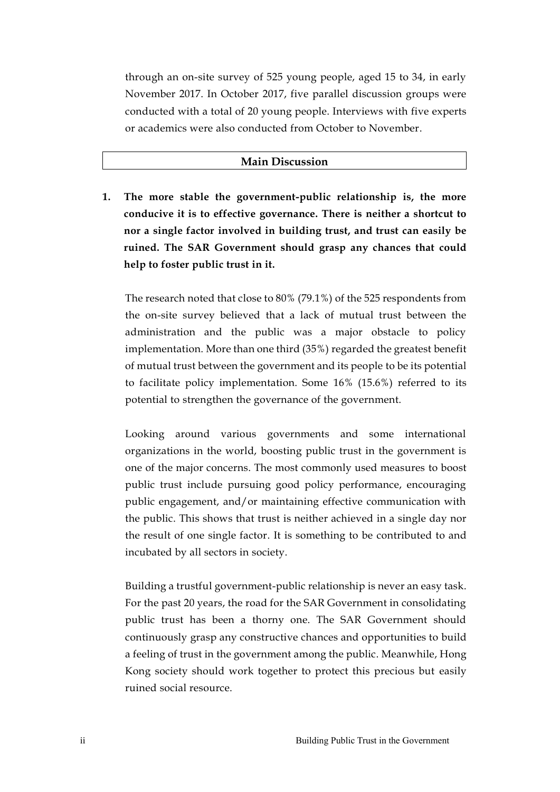through an on-site survey of 525 young people, aged 15 to 34, in early November 2017. In October 2017, five parallel discussion groups were conducted with a total of 20 young people. Interviews with five experts or academics were also conducted from October to November.

#### **Main Discussion**

**1. The more stable the government-public relationship is, the more conducive it is to effective governance. There is neither a shortcut to nor a single factor involved in building trust, and trust can easily be ruined. The SAR Government should grasp any chances that could help to foster public trust in it.** 

The research noted that close to 80% (79.1%) of the 525 respondents from the on-site survey believed that a lack of mutual trust between the administration and the public was a major obstacle to policy implementation. More than one third (35%) regarded the greatest benefit of mutual trust between the government and its people to be its potential to facilitate policy implementation. Some 16% (15.6%) referred to its potential to strengthen the governance of the government.

Looking around various governments and some international organizations in the world, boosting public trust in the government is one of the major concerns. The most commonly used measures to boost public trust include pursuing good policy performance, encouraging public engagement, and/or maintaining effective communication with the public. This shows that trust is neither achieved in a single day nor the result of one single factor. It is something to be contributed to and incubated by all sectors in society.

Building a trustful government-public relationship is never an easy task. For the past 20 years, the road for the SAR Government in consolidating public trust has been a thorny one. The SAR Government should continuously grasp any constructive chances and opportunities to build a feeling of trust in the government among the public. Meanwhile, Hong Kong society should work together to protect this precious but easily ruined social resource.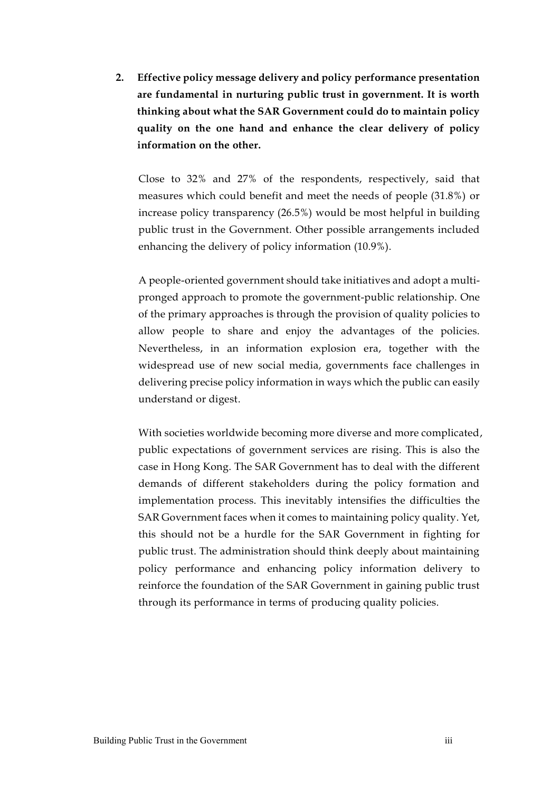**2. Effective policy message delivery and policy performance presentation are fundamental in nurturing public trust in government. It is worth thinking about what the SAR Government could do to maintain policy quality on the one hand and enhance the clear delivery of policy information on the other.** 

Close to 32% and 27% of the respondents, respectively, said that measures which could benefit and meet the needs of people (31.8%) or increase policy transparency (26.5%) would be most helpful in building public trust in the Government. Other possible arrangements included enhancing the delivery of policy information (10.9%).

A people-oriented government should take initiatives and adopt a multipronged approach to promote the government-public relationship. One of the primary approaches is through the provision of quality policies to allow people to share and enjoy the advantages of the policies. Nevertheless, in an information explosion era, together with the widespread use of new social media, governments face challenges in delivering precise policy information in ways which the public can easily understand or digest.

With societies worldwide becoming more diverse and more complicated, public expectations of government services are rising. This is also the case in Hong Kong. The SAR Government has to deal with the different demands of different stakeholders during the policy formation and implementation process. This inevitably intensifies the difficulties the SAR Government faces when it comes to maintaining policy quality. Yet, this should not be a hurdle for the SAR Government in fighting for public trust. The administration should think deeply about maintaining policy performance and enhancing policy information delivery to reinforce the foundation of the SAR Government in gaining public trust through its performance in terms of producing quality policies.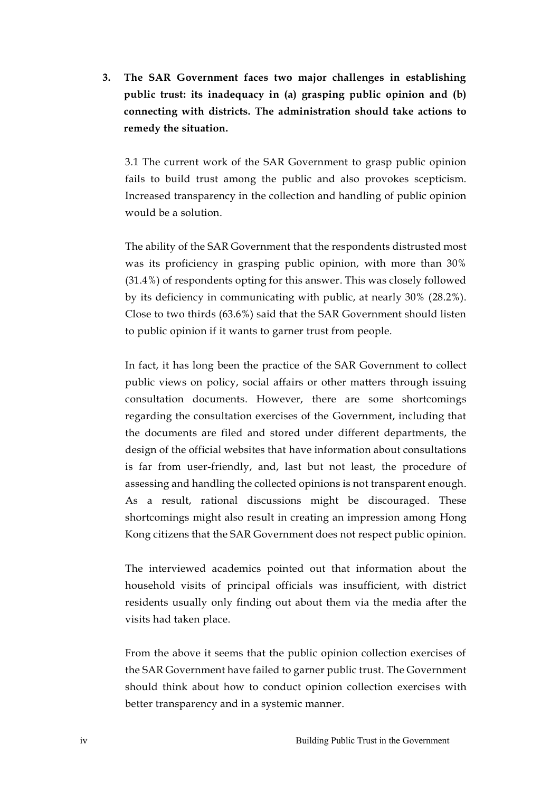**3. The SAR Government faces two major challenges in establishing public trust: its inadequacy in (a) grasping public opinion and (b) connecting with districts. The administration should take actions to remedy the situation.**

3.1 The current work of the SAR Government to grasp public opinion fails to build trust among the public and also provokes scepticism. Increased transparency in the collection and handling of public opinion would be a solution.

The ability of the SAR Government that the respondents distrusted most was its proficiency in grasping public opinion, with more than 30% (31.4%) of respondents opting for this answer. This was closely followed by its deficiency in communicating with public, at nearly 30% (28.2%). Close to two thirds (63.6%) said that the SAR Government should listen to public opinion if it wants to garner trust from people.

In fact, it has long been the practice of the SAR Government to collect public views on policy, social affairs or other matters through issuing consultation documents. However, there are some shortcomings regarding the consultation exercises of the Government, including that the documents are filed and stored under different departments, the design of the official websites that have information about consultations is far from user-friendly, and, last but not least, the procedure of assessing and handling the collected opinions is not transparent enough. As a result, rational discussions might be discouraged. These shortcomings might also result in creating an impression among Hong Kong citizens that the SAR Government does not respect public opinion.

The interviewed academics pointed out that information about the household visits of principal officials was insufficient, with district residents usually only finding out about them via the media after the visits had taken place.

From the above it seems that the public opinion collection exercises of the SAR Government have failed to garner public trust. The Government should think about how to conduct opinion collection exercises with better transparency and in a systemic manner.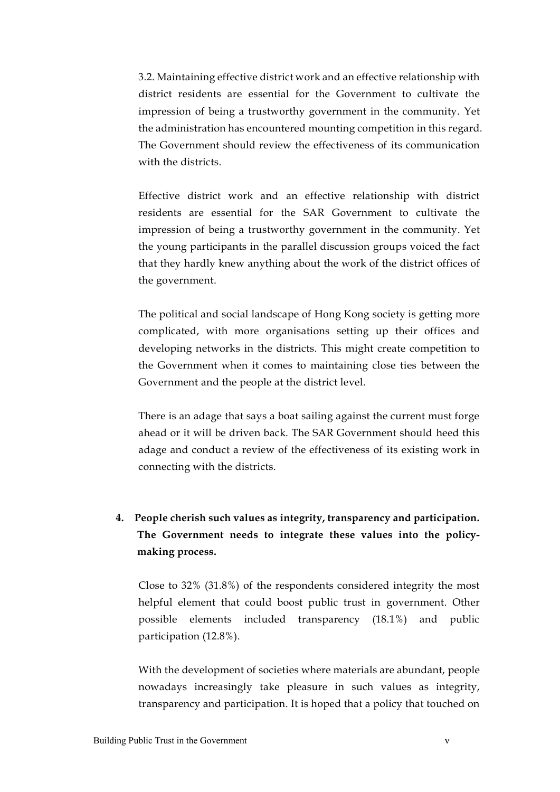3.2. Maintaining effective district work and an effective relationship with district residents are essential for the Government to cultivate the impression of being a trustworthy government in the community. Yet the administration has encountered mounting competition in this regard. The Government should review the effectiveness of its communication with the districts.

Effective district work and an effective relationship with district residents are essential for the SAR Government to cultivate the impression of being a trustworthy government in the community. Yet the young participants in the parallel discussion groups voiced the fact that they hardly knew anything about the work of the district offices of the government.

The political and social landscape of Hong Kong society is getting more complicated, with more organisations setting up their offices and developing networks in the districts. This might create competition to the Government when it comes to maintaining close ties between the Government and the people at the district level.

There is an adage that says a boat sailing against the current must forge ahead or it will be driven back. The SAR Government should heed this adage and conduct a review of the effectiveness of its existing work in connecting with the districts.

# **4. People cherish such values as integrity, transparency and participation. The Government needs to integrate these values into the policymaking process.**

Close to 32% (31.8%) of the respondents considered integrity the most helpful element that could boost public trust in government. Other possible elements included transparency (18.1%) and public participation (12.8%).

With the development of societies where materials are abundant, people nowadays increasingly take pleasure in such values as integrity, transparency and participation. It is hoped that a policy that touched on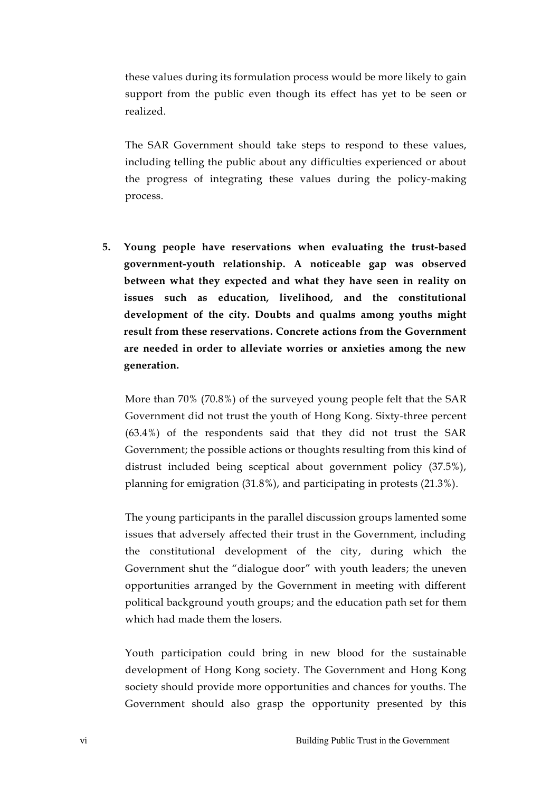these values during its formulation process would be more likely to gain support from the public even though its effect has yet to be seen or realized.

The SAR Government should take steps to respond to these values, including telling the public about any difficulties experienced or about the progress of integrating these values during the policy-making process.

**5. Young people have reservations when evaluating the trust-based government-youth relationship. A noticeable gap was observed between what they expected and what they have seen in reality on issues such as education, livelihood, and the constitutional development of the city. Doubts and qualms among youths might result from these reservations. Concrete actions from the Government are needed in order to alleviate worries or anxieties among the new generation.** 

More than 70% (70.8%) of the surveyed young people felt that the SAR Government did not trust the youth of Hong Kong. Sixty-three percent (63.4%) of the respondents said that they did not trust the SAR Government; the possible actions or thoughts resulting from this kind of distrust included being sceptical about government policy (37.5%), planning for emigration (31.8%), and participating in protests (21.3%).

The young participants in the parallel discussion groups lamented some issues that adversely affected their trust in the Government, including the constitutional development of the city, during which the Government shut the "dialogue door" with youth leaders; the uneven opportunities arranged by the Government in meeting with different political background youth groups; and the education path set for them which had made them the losers.

Youth participation could bring in new blood for the sustainable development of Hong Kong society. The Government and Hong Kong society should provide more opportunities and chances for youths. The Government should also grasp the opportunity presented by this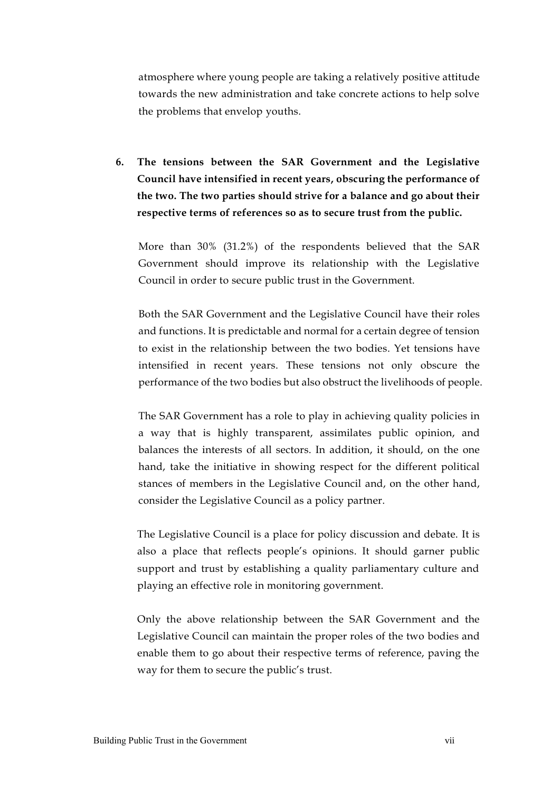atmosphere where young people are taking a relatively positive attitude towards the new administration and take concrete actions to help solve the problems that envelop youths.

**6. The tensions between the SAR Government and the Legislative Council have intensified in recent years, obscuring the performance of the two. The two parties should strive for a balance and go about their respective terms of references so as to secure trust from the public.** 

More than 30% (31.2%) of the respondents believed that the SAR Government should improve its relationship with the Legislative Council in order to secure public trust in the Government.

Both the SAR Government and the Legislative Council have their roles and functions. It is predictable and normal for a certain degree of tension to exist in the relationship between the two bodies. Yet tensions have intensified in recent years. These tensions not only obscure the performance of the two bodies but also obstruct the livelihoods of people.

The SAR Government has a role to play in achieving quality policies in a way that is highly transparent, assimilates public opinion, and balances the interests of all sectors. In addition, it should, on the one hand, take the initiative in showing respect for the different political stances of members in the Legislative Council and, on the other hand, consider the Legislative Council as a policy partner.

The Legislative Council is a place for policy discussion and debate. It is also a place that reflects people's opinions. It should garner public support and trust by establishing a quality parliamentary culture and playing an effective role in monitoring government.

Only the above relationship between the SAR Government and the Legislative Council can maintain the proper roles of the two bodies and enable them to go about their respective terms of reference, paving the way for them to secure the public's trust.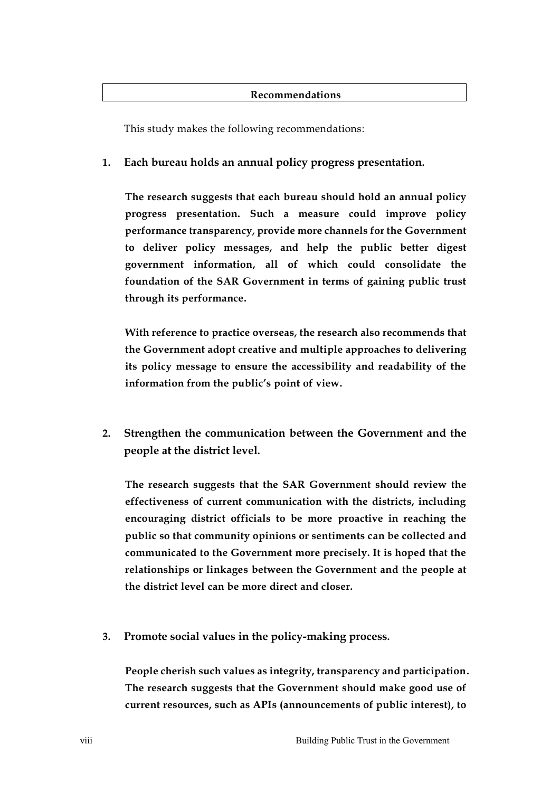#### **Recommendations**

This study makes the following recommendations:

### **1. Each bureau holds an annual policy progress presentation.**

**The research suggests that each bureau should hold an annual policy progress presentation. Such a measure could improve policy performance transparency, provide more channels for the Government to deliver policy messages, and help the public better digest government information, all of which could consolidate the foundation of the SAR Government in terms of gaining public trust through its performance.**

**With reference to practice overseas, the research also recommends that the Government adopt creative and multiple approaches to delivering its policy message to ensure the accessibility and readability of the information from the public's point of view.**

**2. Strengthen the communication between the Government and the people at the district level.**

**The research suggests that the SAR Government should review the effectiveness of current communication with the districts, including encouraging district officials to be more proactive in reaching the public so that community opinions or sentiments can be collected and communicated to the Government more precisely. It is hoped that the relationships or linkages between the Government and the people at the district level can be more direct and closer.**

**3. Promote social values in the policy-making process.** 

**People cherish such values as integrity, transparency and participation. The research suggests that the Government should make good use of current resources, such as APIs (announcements of public interest), to**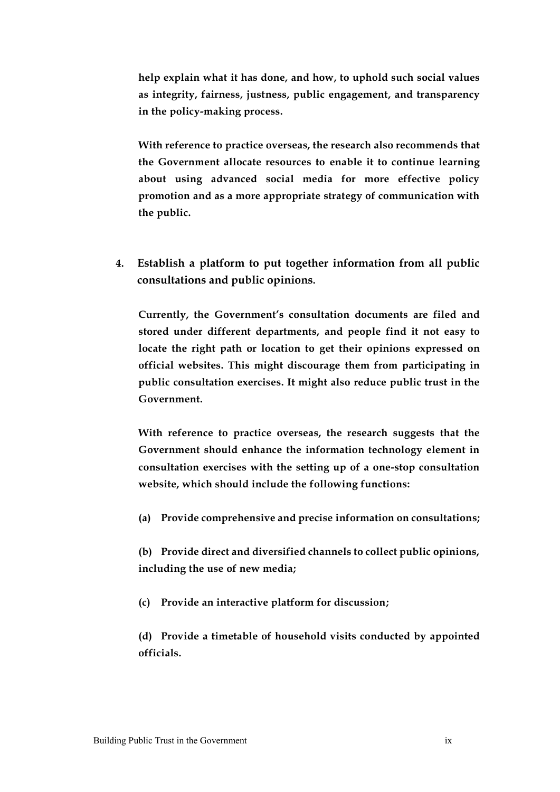**help explain what it has done, and how, to uphold such social values as integrity, fairness, justness, public engagement, and transparency in the policy-making process.** 

**With reference to practice overseas, the research also recommends that the Government allocate resources to enable it to continue learning about using advanced social media for more effective policy promotion and as a more appropriate strategy of communication with the public.**

**4. Establish a platform to put together information from all public consultations and public opinions.**

**Currently, the Government's consultation documents are filed and stored under different departments, and people find it not easy to locate the right path or location to get their opinions expressed on official websites. This might discourage them from participating in public consultation exercises. It might also reduce public trust in the Government.**

**With reference to practice overseas, the research suggests that the Government should enhance the information technology element in consultation exercises with the setting up of a one-stop consultation website, which should include the following functions:**

**(a) Provide comprehensive and precise information on consultations;**

**(b) Provide direct and diversified channels to collect public opinions, including the use of new media;**

**(c) Provide an interactive platform for discussion;**

**(d) Provide a timetable of household visits conducted by appointed officials.**